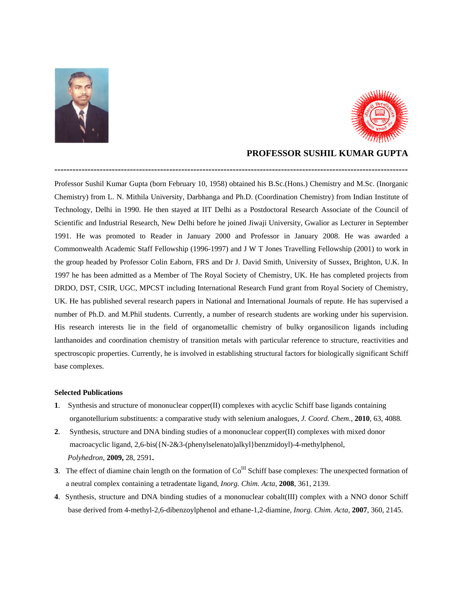



## **PROFESSOR SUSHIL KUMAR GUPTA**

Professor Sushil Kumar Gupta (born February 10, 1958) obtained his B.Sc.(Hons.) Chemistry and M.Sc. (Inorganic Chemistry) from L. N. Mithila University, Darbhanga and Ph.D. (Coordination Chemistry) from Indian Institute of Technology, Delhi in 1990. He then stayed at IIT Delhi as a Postdoctoral Research Associate of the Council of Scientific and Industrial Research, New Delhi before he joined Jiwaji University, Gwalior as Lecturer in September 1991. He was promoted to Reader in January 2000 and Professor in January 2008. He was awarded a Commonwealth Academic Staff Fellowship (1996-1997) and J W T Jones Travelling Fellowship (2001) to work in the group headed by Professor Colin Eaborn, FRS and Dr J. David Smith, University of Sussex, Brighton, U.K. In 1997 he has been admitted as a Member of The Royal Society of Chemistry, UK. He has completed projects from DRDO, DST, CSIR, UGC, MPCST including International Research Fund grant from Royal Society of Chemistry, UK. He has published several research papers in National and International Journals of repute. He has supervised a number of Ph.D. and M.Phil students. Currently, a number of research students are working under his supervision. His research interests lie in the field of organometallic chemistry of bulky organosilicon ligands including lanthanoides and coordination chemistry of transition metals with particular reference to structure, reactivities and spectroscopic properties. Currently, he is involved in establishing structural factors for biologically significant Schiff base complexes.

**---------------------------------------------------------------------------------------------------------------------** 

## **Selected Publications**

- **1**. Synthesis and structure of mononuclear copper(II) complexes with acyclic Schiff base ligands containing organotellurium substituents: a comparative study with selenium analogues, *J. Coord. Chem.*, **2010**, 63, 4088.
- **2**. Synthesis, structure and DNA binding studies of a mononuclear copper(II) complexes with mixed donor macroacyclic ligand, 2,6-bis({N-2&3-(phenylselenato)alkyl}benzmidoyl)-4-methylphenol,  *Polyhedron*, **2009,** 28, 2591**.**
- **3**. The effect of diamine chain length on the formation of  $Co^{III}$  Schiff base complexes: The unexpected formation of a neutral complex containing a tetradentate ligand, *Inorg. Chim. Acta*, **2008**, 361, 2139.
- **4**. Synthesis, structure and DNA binding studies of a mononuclear cobalt(III) complex with a NNO donor Schiff base derived from 4-methyl-2,6-dibenzoylphenol and ethane-1,2-diamine, *Inorg. Chim. Acta*, **2007**, 360, 2145.